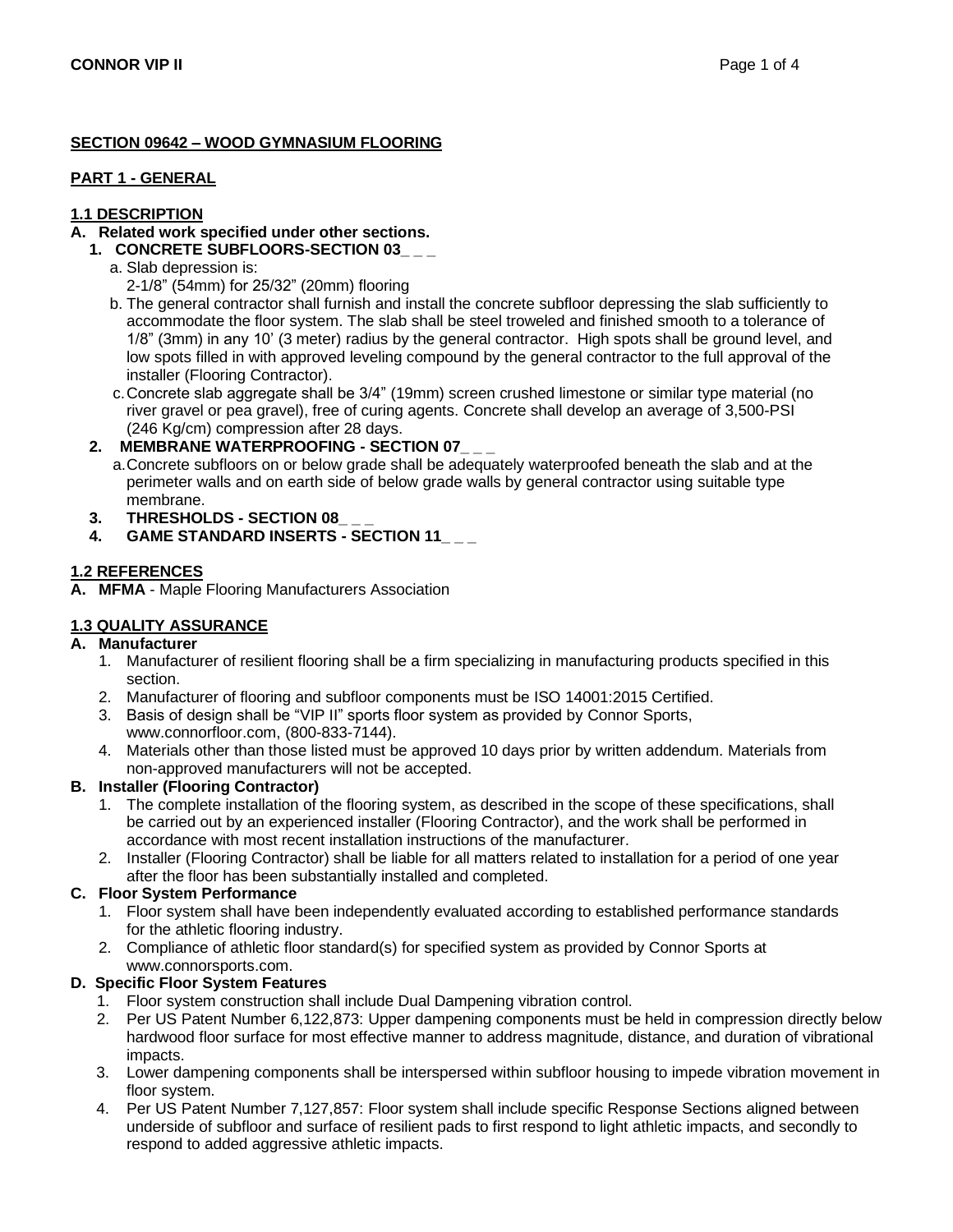## **SECTION 09642 – WOOD GYMNASIUM FLOORING**

#### **PART 1 - GENERAL**

# **1.1 DESCRIPTION**

# **A. Related work specified under other sections.**

# **1. CONCRETE SUBFLOORS-SECTION 03\_ \_ \_**

- a. Slab depression is:
	- 2-1/8" (54mm) for 25/32" (20mm) flooring
- b. The general contractor shall furnish and install the concrete subfloor depressing the slab sufficiently to accommodate the floor system. The slab shall be steel troweled and finished smooth to a tolerance of 1/8" (3mm) in any 10' (3 meter) radius by the general contractor. High spots shall be ground level, and low spots filled in with approved leveling compound by the general contractor to the full approval of the installer (Flooring Contractor).
- c.Concrete slab aggregate shall be 3/4" (19mm) screen crushed limestone or similar type material (no river gravel or pea gravel), free of curing agents. Concrete shall develop an average of 3,500-PSI (246 Kg/cm) compression after 28 days.
- **2. MEMBRANE WATERPROOFING - SECTION 07\_ \_ \_**
	- a.Concrete subfloors on or below grade shall be adequately waterproofed beneath the slab and at the perimeter walls and on earth side of below grade walls by general contractor using suitable type membrane.
- **3. THRESHOLDS - SECTION 08\_ \_ \_**
- **4. GAME STANDARD INSERTS - SECTION 11\_ \_ \_**

## **1.2 REFERENCES**

**A. MFMA** - Maple Flooring Manufacturers Association

# **1.3 QUALITY ASSURANCE**

## **A. Manufacturer**

- 1. Manufacturer of resilient flooring shall be a firm specializing in manufacturing products specified in this section.
- 2. Manufacturer of flooring and subfloor components must be ISO 14001:2015 Certified.
- 3. Basis of design shall be "VIP II" sports floor system as provided by Connor Sports, www.connorfloor.com, (800-833-7144).
- 4. Materials other than those listed must be approved 10 days prior by written addendum. Materials from non-approved manufacturers will not be accepted.

## **B. Installer (Flooring Contractor)**

- 1. The complete installation of the flooring system, as described in the scope of these specifications, shall be carried out by an experienced installer (Flooring Contractor), and the work shall be performed in accordance with most recent installation instructions of the manufacturer.
- 2. Installer (Flooring Contractor) shall be liable for all matters related to installation for a period of one year after the floor has been substantially installed and completed.

## **C. Floor System Performance**

- 1. Floor system shall have been independently evaluated according to established performance standards for the athletic flooring industry.
- 2. Compliance of athletic floor standard(s) for specified system as provided by Connor Sports at www.connorsports.com.

## **D. Specific Floor System Features**

- 1. Floor system construction shall include Dual Dampening vibration control.
- 2. Per US Patent Number 6,122,873: Upper dampening components must be held in compression directly below hardwood floor surface for most effective manner to address magnitude, distance, and duration of vibrational impacts.
- 3. Lower dampening components shall be interspersed within subfloor housing to impede vibration movement in floor system.
- 4. Per US Patent Number 7,127,857: Floor system shall include specific Response Sections aligned between underside of subfloor and surface of resilient pads to first respond to light athletic impacts, and secondly to respond to added aggressive athletic impacts.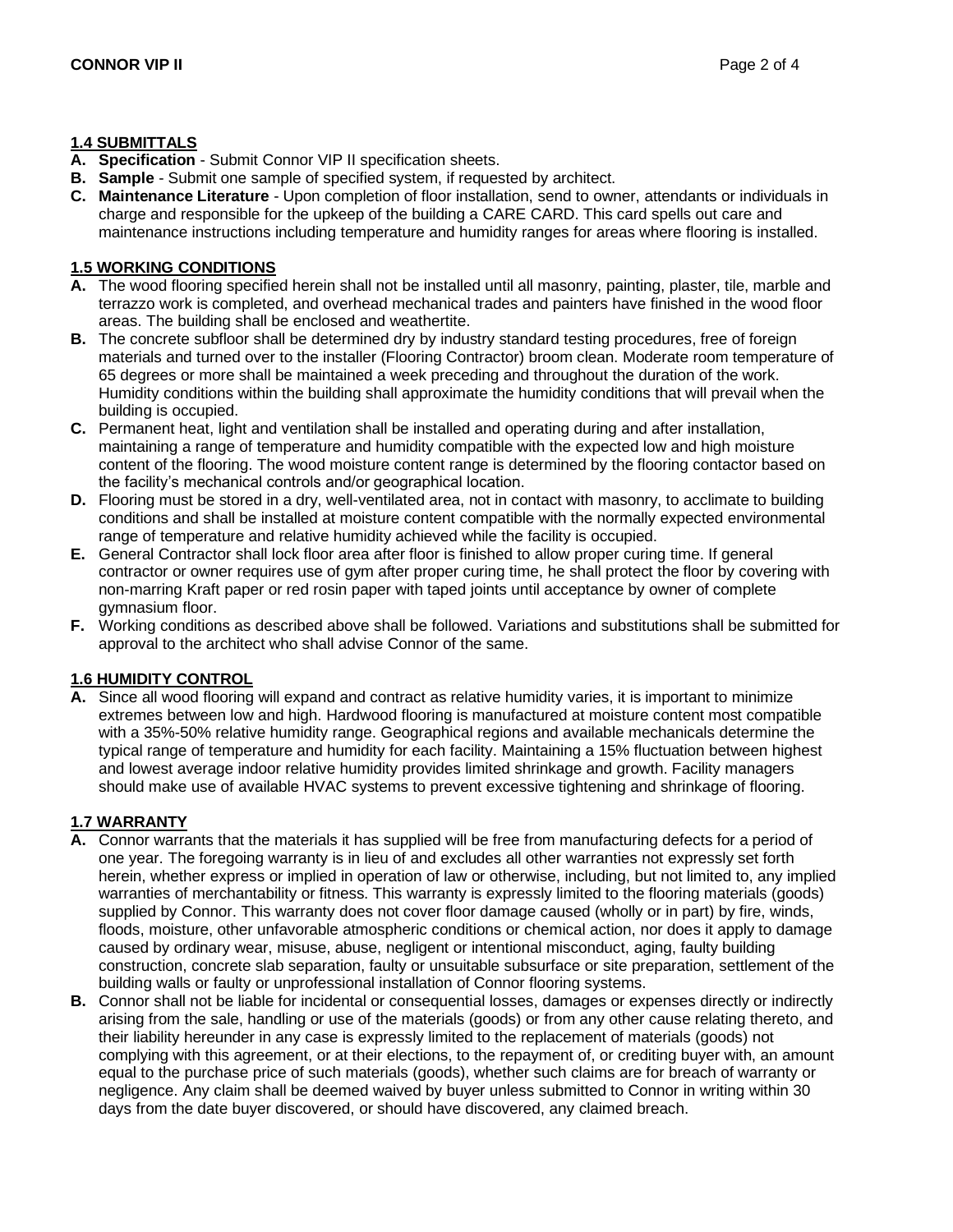## **1.4 SUBMITTALS**

- **A. Specification**  Submit Connor VIP II specification sheets.
- **B. Sample**  Submit one sample of specified system, if requested by architect.
- **C. Maintenance Literature**  Upon completion of floor installation, send to owner, attendants or individuals in charge and responsible for the upkeep of the building a CARE CARD. This card spells out care and maintenance instructions including temperature and humidity ranges for areas where flooring is installed.

## **1.5 WORKING CONDITIONS**

- **A.** The wood flooring specified herein shall not be installed until all masonry, painting, plaster, tile, marble and terrazzo work is completed, and overhead mechanical trades and painters have finished in the wood floor areas. The building shall be enclosed and weathertite.
- **B.** The concrete subfloor shall be determined dry by industry standard testing procedures, free of foreign materials and turned over to the installer (Flooring Contractor) broom clean. Moderate room temperature of 65 degrees or more shall be maintained a week preceding and throughout the duration of the work. Humidity conditions within the building shall approximate the humidity conditions that will prevail when the building is occupied.
- **C.** Permanent heat, light and ventilation shall be installed and operating during and after installation, maintaining a range of temperature and humidity compatible with the expected low and high moisture content of the flooring. The wood moisture content range is determined by the flooring contactor based on the facility's mechanical controls and/or geographical location.
- **D.** Flooring must be stored in a dry, well-ventilated area, not in contact with masonry, to acclimate to building conditions and shall be installed at moisture content compatible with the normally expected environmental range of temperature and relative humidity achieved while the facility is occupied.
- **E.** General Contractor shall lock floor area after floor is finished to allow proper curing time. If general contractor or owner requires use of gym after proper curing time, he shall protect the floor by covering with non-marring Kraft paper or red rosin paper with taped joints until acceptance by owner of complete gymnasium floor.
- **F.** Working conditions as described above shall be followed. Variations and substitutions shall be submitted for approval to the architect who shall advise Connor of the same.

# **1.6 HUMIDITY CONTROL**

**A.** Since all wood flooring will expand and contract as relative humidity varies, it is important to minimize extremes between low and high. Hardwood flooring is manufactured at moisture content most compatible with a 35%-50% relative humidity range. Geographical regions and available mechanicals determine the typical range of temperature and humidity for each facility. Maintaining a 15% fluctuation between highest and lowest average indoor relative humidity provides limited shrinkage and growth. Facility managers should make use of available HVAC systems to prevent excessive tightening and shrinkage of flooring.

# **1.7 WARRANTY**

- **A.** Connor warrants that the materials it has supplied will be free from manufacturing defects for a period of one year. The foregoing warranty is in lieu of and excludes all other warranties not expressly set forth herein, whether express or implied in operation of law or otherwise, including, but not limited to, any implied warranties of merchantability or fitness. This warranty is expressly limited to the flooring materials (goods) supplied by Connor. This warranty does not cover floor damage caused (wholly or in part) by fire, winds, floods, moisture, other unfavorable atmospheric conditions or chemical action, nor does it apply to damage caused by ordinary wear, misuse, abuse, negligent or intentional misconduct, aging, faulty building construction, concrete slab separation, faulty or unsuitable subsurface or site preparation, settlement of the building walls or faulty or unprofessional installation of Connor flooring systems.
- **B.** Connor shall not be liable for incidental or consequential losses, damages or expenses directly or indirectly arising from the sale, handling or use of the materials (goods) or from any other cause relating thereto, and their liability hereunder in any case is expressly limited to the replacement of materials (goods) not complying with this agreement, or at their elections, to the repayment of, or crediting buyer with, an amount equal to the purchase price of such materials (goods), whether such claims are for breach of warranty or negligence. Any claim shall be deemed waived by buyer unless submitted to Connor in writing within 30 days from the date buyer discovered, or should have discovered, any claimed breach.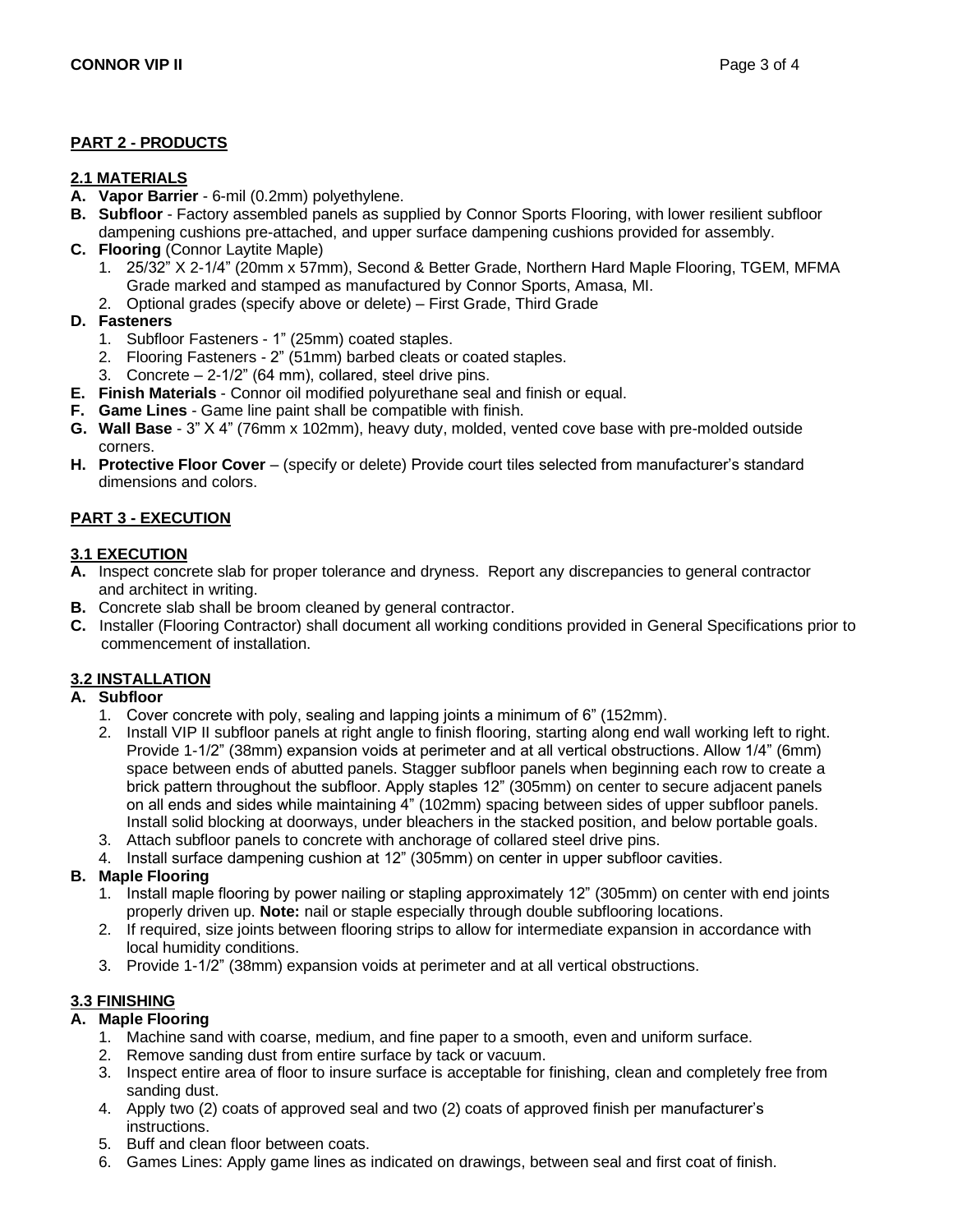## **PART 2 - PRODUCTS**

## **2.1 MATERIALS**

- **A. Vapor Barrier**  6-mil (0.2mm) polyethylene.
- **B. Subfloor** Factory assembled panels as supplied by Connor Sports Flooring, with lower resilient subfloor dampening cushions pre-attached, and upper surface dampening cushions provided for assembly.
- **C. Flooring** (Connor Laytite Maple)
	- 1. 25/32" X 2-1/4" (20mm x 57mm), Second & Better Grade, Northern Hard Maple Flooring, TGEM, MFMA Grade marked and stamped as manufactured by Connor Sports, Amasa, MI.
	- 2. Optional grades (specify above or delete) First Grade, Third Grade

#### **D. Fasteners**

- 1. Subfloor Fasteners 1" (25mm) coated staples.
- 2. Flooring Fasteners 2" (51mm) barbed cleats or coated staples.
- 3. Concrete 2-1/2" (64 mm), collared, steel drive pins.
- **E. Finish Materials**  Connor oil modified polyurethane seal and finish or equal.
- **F. Game Lines**  Game line paint shall be compatible with finish.
- **G. Wall Base**  3" X 4" (76mm x 102mm), heavy duty, molded, vented cove base with pre-molded outside corners.
- **H. Protective Floor Cover** (specify or delete) Provide court tiles selected from manufacturer's standard dimensions and colors.

## **PART 3 - EXECUTION**

#### **3.1 EXECUTION**

- **A.** Inspect concrete slab for proper tolerance and dryness. Report any discrepancies to general contractor and architect in writing.
- **B.** Concrete slab shall be broom cleaned by general contractor.
- **C.** Installer (Flooring Contractor) shall document all working conditions provided in General Specifications prior to commencement of installation.

## **3.2 INSTALLATION**

#### **A. Subfloor**

- 1. Cover concrete with poly, sealing and lapping joints a minimum of 6" (152mm).
- 2. Install VIP II subfloor panels at right angle to finish flooring, starting along end wall working left to right. Provide 1-1/2" (38mm) expansion voids at perimeter and at all vertical obstructions. Allow 1/4" (6mm) space between ends of abutted panels. Stagger subfloor panels when beginning each row to create a brick pattern throughout the subfloor. Apply staples 12" (305mm) on center to secure adjacent panels on all ends and sides while maintaining 4" (102mm) spacing between sides of upper subfloor panels. Install solid blocking at doorways, under bleachers in the stacked position, and below portable goals.
- 3. Attach subfloor panels to concrete with anchorage of collared steel drive pins.
- 4. Install surface dampening cushion at 12" (305mm) on center in upper subfloor cavities.

## **B. Maple Flooring**

- 1. Install maple flooring by power nailing or stapling approximately 12" (305mm) on center with end joints properly driven up. **Note:** nail or staple especially through double subflooring locations.
- 2. If required, size joints between flooring strips to allow for intermediate expansion in accordance with local humidity conditions.
- 3. Provide 1-1/2" (38mm) expansion voids at perimeter and at all vertical obstructions.

## **3.3 FINISHING**

## **A. Maple Flooring**

- 1. Machine sand with coarse, medium, and fine paper to a smooth, even and uniform surface.
- 2. Remove sanding dust from entire surface by tack or vacuum.
- 3. Inspect entire area of floor to insure surface is acceptable for finishing, clean and completely free from sanding dust.
- 4. Apply two (2) coats of approved seal and two (2) coats of approved finish per manufacturer's instructions.
- 5. Buff and clean floor between coats.
- 6. Games Lines: Apply game lines as indicated on drawings, between seal and first coat of finish.